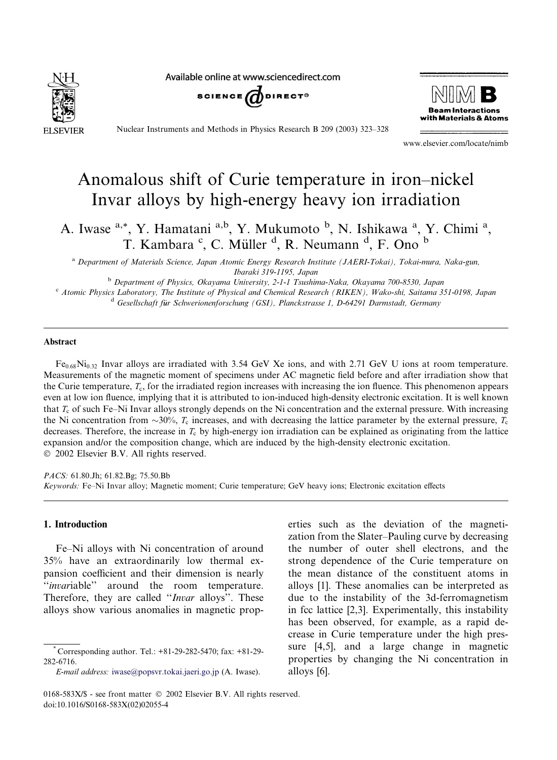Available online at www.sciencedirect.com







Nuclear Instruments and Methods in Physics Research B 209 (2003) 323–328

www.elsevier.com/locate/nimb

# Anomalous shift of Curie temperature in iron–nickel Invar alloys by high-energy heavy ion irradiation

A. Iwase <sup>a,\*</sup>, Y. Hamatani <sup>a,b</sup>, Y. Mukumoto <sup>b</sup>, N. Ishikawa <sup>a</sup>, Y. Chimi <sup>a</sup>, T. Kambara <sup>c</sup>, C. Müller <sup>d</sup>, R. Neumann <sup>d</sup>, F. Ono <sup>b</sup>

<sup>a</sup> Department of Materials Science, Japan Atomic Energy Research Institute (JAERI-Tokai), Tokai-mura, Naka-gun, Ibaraki 319-1195, Japan

<sup>b</sup> Department of Physics, Okayama University, 2-1-1 Tsushima-Naka, Okayama 700-8530, Japan <sup>c</sup> Atomic Physics Laboratory, The Institute of Physical and Chemical Research (RIKEN), Wako-shi, Saitama 351-0198, Japan <sup>d</sup> Gesellschaft für Schwerionenforschung (GSI), Planckstrasse 1, D-64291 Darmstadt, Germany

# Abstract

 $Fe_{0.68}Ni_{0.32}$  Invar alloys are irradiated with 3.54 GeV Xe ions, and with 2.71 GeV U ions at room temperature. Measurements of the magnetic moment of specimens under AC magnetic field before and after irradiation show that the Curie temperature,  $T_c$ , for the irradiated region increases with increasing the ion fluence. This phenomenon appears even at low ion fluence, implying that it is attributed to ion-induced high-density electronic excitation. It is well known that  $T_c$  of such Fe–Ni Invar alloys strongly depends on the Ni concentration and the external pressure. With increasing the Ni concentration from  $\sim$ 30%,  $T_c$  increases, and with decreasing the lattice parameter by the external pressure,  $T_c$ decreases. Therefore, the increase in  $T_c$  by high-energy ion irradiation can be explained as originating from the lattice expansion and/or the composition change, which are induced by the high-density electronic excitation. 2002 Elsevier B.V. All rights reserved.

PACS: 61.80.Jh; 61.82.Bg; 75.50.Bb Keywords: Fe–Ni Invar alloy; Magnetic moment; Curie temperature; GeV heavy ions; Electronic excitation effects

# 1. Introduction

Fe–Ni alloys with Ni concentration of around 35% have an extraordinarily low thermal expansion coefficient and their dimension is nearly ''invariable'' around the room temperature. Therefore, they are called "Invar alloys". These alloys show various anomalies in magnetic properties such as the deviation of the magnetization from the Slater–Pauling curve by decreasing the number of outer shell electrons, and the strong dependence of the Curie temperature on the mean distance of the constituent atoms in alloys [1]. These anomalies can be interpreted as due to the instability of the 3d-ferromagnetism in fcc lattice [2,3]. Experimentally, this instability has been observed, for example, as a rapid decrease in Curie temperature under the high pressure [4,5], and a large change in magnetic properties by changing the Ni concentration in alloys [6].

<sup>\*</sup> Corresponding author. Tel.: +81-29-282-5470; fax: +81-29- 282-6716.

E-mail address: [iwase@popsvr.tokai.jaeri.go.jp](mail to: iwase@popsvr.tokai.jaeri.go.jp) (A. Iwase).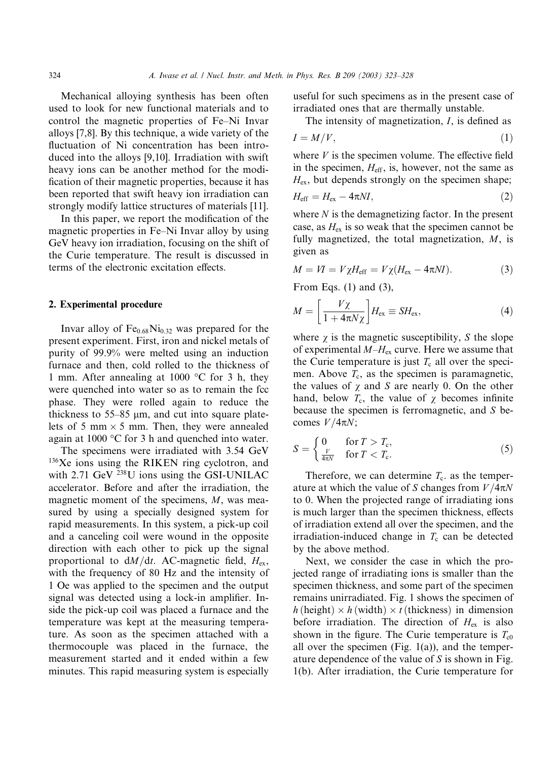Mechanical alloying synthesis has been often used to look for new functional materials and to control the magnetic properties of Fe–Ni Invar alloys [7,8]. By this technique, a wide variety of the fluctuation of Ni concentration has been introduced into the alloys [9,10]. Irradiation with swift heavy ions can be another method for the modification of their magnetic properties, because it has been reported that swift heavy ion irradiation can strongly modify lattice structures of materials [11].

In this paper, we report the modification of the magnetic properties in Fe–Ni Invar alloy by using GeV heavy ion irradiation, focusing on the shift of the Curie temperature. The result is discussed in terms of the electronic excitation effects.

## 2. Experimental procedure

Invar alloy of  $Fe<sub>0.68</sub>Ni<sub>0.32</sub>$  was prepared for the present experiment. First, iron and nickel metals of purity of 99.9% were melted using an induction furnace and then, cold rolled to the thickness of 1 mm. After annealing at 1000  $\degree$ C for 3 h, they were quenched into water so as to remain the fcc phase. They were rolled again to reduce the thickness to  $55-85$  µm, and cut into square platelets of 5 mm  $\times$  5 mm. Then, they were annealed again at 1000  $\mathrm{^{\circ}C}$  for 3 h and quenched into water.

The specimens were irradiated with 3.54 GeV <sup>136</sup>Xe ions using the RIKEN ring cyclotron, and with  $2.71$  GeV  $^{238}$ U ions using the GSI-UNILAC accelerator. Before and after the irradiation, the magnetic moment of the specimens, M, was measured by using a specially designed system for rapid measurements. In this system, a pick-up coil and a canceling coil were wound in the opposite direction with each other to pick up the signal proportional to  $dM/dt$ . AC-magnetic field,  $H_{ex}$ , with the frequency of 80 Hz and the intensity of 1 Oe was applied to the specimen and the output signal was detected using a lock-in amplifier. Inside the pick-up coil was placed a furnace and the temperature was kept at the measuring temperature. As soon as the specimen attached with a thermocouple was placed in the furnace, the measurement started and it ended within a few minutes. This rapid measuring system is especially useful for such specimens as in the present case of irradiated ones that are thermally unstable.

The intensity of magnetization, I, is defined as

$$
I = M/V, \tag{1}
$$

where  $V$  is the specimen volume. The effective field in the specimen,  $H_{\text{eff}}$ , is, however, not the same as  $H_{\text{ex}}$ , but depends strongly on the specimen shape;

$$
H_{\rm eff} = H_{\rm ex} - 4\pi NI,\tag{2}
$$

where  $N$  is the demagnetizing factor. In the present case, as  $H_{ex}$  is so weak that the specimen cannot be fully magnetized, the total magnetization,  $M$ , is given as

$$
M = VI = V\chi H_{\text{eff}} = V\chi(H_{\text{ex}} - 4\pi NI). \tag{3}
$$

From Eqs. (1) and (3),

$$
M = \left[\frac{V\chi}{1 + 4\pi N\chi}\right]H_{\text{ex}} \equiv SH_{\text{ex}},\tag{4}
$$

where  $\chi$  is the magnetic susceptibility, S the slope of experimental  $M-H_{ex}$  curve. Here we assume that the Curie temperature is just  $T_c$  all over the specimen. Above  $T_c$ , as the specimen is paramagnetic, the values of  $\chi$  and S are nearly 0. On the other hand, below  $T_c$ , the value of  $\chi$  becomes infinite because the specimen is ferromagnetic, and S becomes  $V/4\pi N$ ;

$$
S = \begin{cases} 0 & \text{for } T > T_{\text{c}}, \\ \frac{V}{4\pi N} & \text{for } T < T_{\text{c}}. \end{cases} \tag{5}
$$

Therefore, we can determine  $T_c$  as the temperature at which the value of S changes from  $V/4\pi N$ to 0. When the projected range of irradiating ions is much larger than the specimen thickness, effects of irradiation extend all over the specimen, and the irradiation-induced change in  $T_c$  can be detected by the above method.

Next, we consider the case in which the projected range of irradiating ions is smaller than the specimen thickness, and some part of the specimen remains unirradiated. Fig. 1 shows the specimen of  $h$  (height)  $\times h$  (width)  $\times t$  (thickness) in dimension before irradiation. The direction of  $H_{\text{ex}}$  is also shown in the figure. The Curie temperature is  $T_{c0}$ all over the specimen (Fig.  $1(a)$ ), and the temperature dependence of the value of  $S$  is shown in Fig. 1(b). After irradiation, the Curie temperature for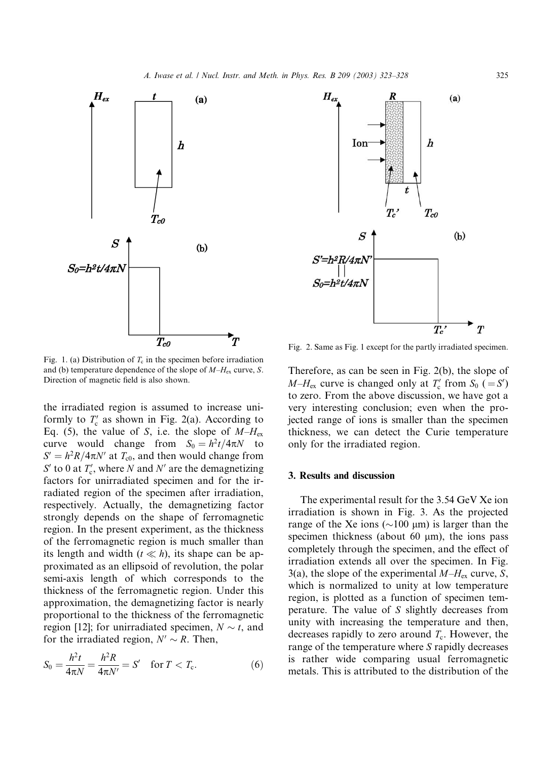

Fig. 1. (a) Distribution of  $T_c$  in the specimen before irradiation and (b) temperature dependence of the slope of  $M-H_{ex}$  curve, S. Direction of magnetic field is also shown.

the irradiated region is assumed to increase uniformly to  $T_c'$  as shown in Fig. 2(a). According to Eq. (5), the value of S, i.e. the slope of  $M-H_{ex}$ curve would change from  $S_0 = h^2t/4\pi N$  to  $S' = h^2R/4\pi N'$  at  $T_{c0}$ , and then would change from  $S'$  to 0 at  $T_c'$ , where N and N' are the demagnetizing factors for unirradiated specimen and for the irradiated region of the specimen after irradiation, respectively. Actually, the demagnetizing factor strongly depends on the shape of ferromagnetic region. In the present experiment, as the thickness of the ferromagnetic region is much smaller than its length and width  $(t \ll h)$ , its shape can be approximated as an ellipsoid of revolution, the polar semi-axis length of which corresponds to the thickness of the ferromagnetic region. Under this approximation, the demagnetizing factor is nearly proportional to the thickness of the ferromagnetic region [12]; for unirradiated specimen,  $N \sim t$ , and for the irradiated region,  $N' \sim R$ . Then,

$$
S_0 = \frac{h^2 t}{4\pi N} = \frac{h^2 R}{4\pi N'} = S' \quad \text{for } T < T_c. \tag{6}
$$



Fig. 2. Same as Fig. 1 except for the partly irradiated specimen.

Therefore, as can be seen in Fig. 2(b), the slope of  $M-H_{\text{ex}}$  curve is changed only at  $T'_{\text{c}}$  from  $S_0$  (=S') to zero. From the above discussion, we have got a very interesting conclusion; even when the projected range of ions is smaller than the specimen thickness, we can detect the Curie temperature only for the irradiated region.

#### 3. Results and discussion

The experimental result for the 3.54 GeV Xe ion irradiation is shown in Fig. 3. As the projected range of the Xe ions ( $\sim$ 100 µm) is larger than the specimen thickness (about 60  $\mu$ m), the ions pass completely through the specimen, and the effect of irradiation extends all over the specimen. In Fig. 3(a), the slope of the experimental  $M-H_{ex}$  curve, S, which is normalized to unity at low temperature region, is plotted as a function of specimen temperature. The value of S slightly decreases from unity with increasing the temperature and then, decreases rapidly to zero around  $T_c$ . However, the range of the temperature where S rapidly decreases is rather wide comparing usual ferromagnetic metals. This is attributed to the distribution of the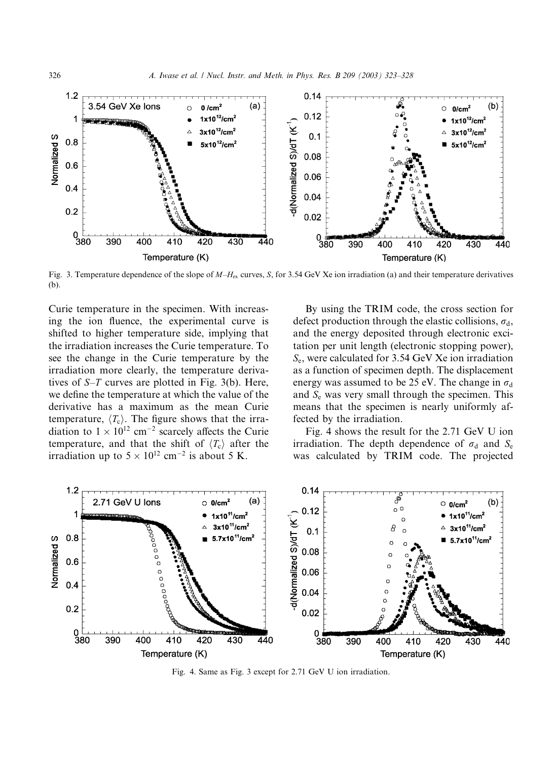

Fig. 3. Temperature dependence of the slope of  $M-H_{ex}$  curves, S, for 3.54 GeV Xe ion irradiation (a) and their temperature derivatives (b).

Curie temperature in the specimen. With increasing the ion fluence, the experimental curve is shifted to higher temperature side, implying that the irradiation increases the Curie temperature. To see the change in the Curie temperature by the irradiation more clearly, the temperature derivatives of  $S-T$  curves are plotted in Fig. 3(b). Here, we define the temperature at which the value of the derivative has a maximum as the mean Curie temperature,  $\langle T_c \rangle$ . The figure shows that the irradiation to  $1 \times 10^{12}$  cm<sup>-2</sup> scarcely affects the Curie temperature, and that the shift of  $\langle T_c \rangle$  after the irradiation up to  $5 \times 10^{12}$  cm<sup>-2</sup> is about 5 K.

By using the TRIM code, the cross section for defect production through the elastic collisions,  $\sigma_d$ , and the energy deposited through electronic excitation per unit length (electronic stopping power),  $S_e$ , were calculated for 3.54 GeV Xe ion irradiation as a function of specimen depth. The displacement energy was assumed to be 25 eV. The change in  $\sigma_d$ and  $S<sub>e</sub>$  was very small through the specimen. This means that the specimen is nearly uniformly affected by the irradiation.

Fig. 4 shows the result for the 2.71 GeV U ion irradiation. The depth dependence of  $\sigma_d$  and  $S_e$ was calculated by TRIM code. The projected



Fig. 4. Same as Fig. 3 except for 2.71 GeV U ion irradiation.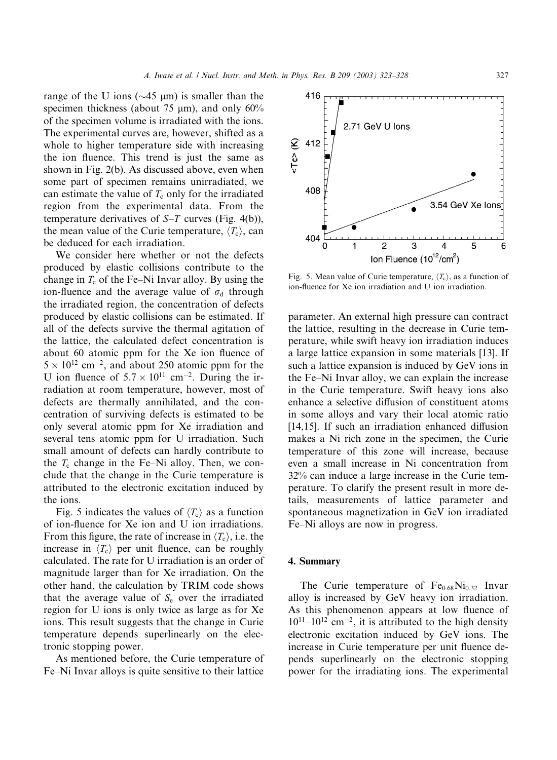range of the U ions ( $\sim$ 45 µm) is smaller than the specimen thickness (about 75  $\mu$ m), and only 60% of the specimen volume is irradiated with the ions. The experimental curves are, however, shifted as a whole to higher temperature side with increasing the ion fluence. This trend is just the same as shown in Fig. 2(b). As discussed above, even when some part of specimen remains unirradiated, we can estimate the value of  $T_c$  only for the irradiated region from the experimental data. From the temperature derivatives of  $S-T$  curves (Fig. 4(b)), the mean value of the Curie temperature,  $\langle T_c \rangle$ , can be deduced for each irradiation.

We consider here whether or not the defects produced by elastic collisions contribute to the change in  $T_c$  of the Fe–Ni Invar alloy. By using the ion-fluence and the average value of  $\sigma_d$  through the irradiated region, the concentration of defects produced by elastic collisions can be estimated. If all of the defects survive the thermal agitation of the lattice, the calculated defect concentration is about 60 atomic ppm for the Xe ion fluence of  $5 \times 10^{12}$  cm<sup>-2</sup>, and about 250 atomic ppm for the U ion fluence of  $5.7 \times 10^{11}$  cm<sup>-2</sup>. During the irradiation at room temperature, however, most of defects are thermally annihilated, and the concentration of surviving defects is estimated to be only several atomic ppm for Xe irradiation and several tens atomic ppm for U irradiation. Such small amount of defects can hardly contribute to the  $T_c$  change in the Fe–Ni alloy. Then, we conclude that the change in the Curie temperature is attributed to the electronic excitation induced by the ions.

Fig. 5 indicates the values of  $\langle T_c \rangle$  as a function of ion-fluence for Xe ion and U ion irradiations. From this figure, the rate of increase in  $\langle T_c \rangle$ , i.e. the increase in  $\langle T_c \rangle$  per unit fluence, can be roughly calculated. The rate for U irradiation is an order of magnitude larger than for Xe irradiation. On the other hand, the calculation by TRIM code shows that the average value of  $S_e$  over the irradiated region for U ions is only twice as large as for Xe ions. This result suggests that the change in Curie temperature depends superlinearly on the electronic stopping power.

As mentioned before, the Curie temperature of Fe–Ni Invar alloys is quite sensitive to their lattice



Fig. 5. Mean value of Curie temperature,  $\langle T_c \rangle$ , as a function of ion-fluence for Xe ion irradiation and U ion irradiation.

parameter. An external high pressure can contract the lattice, resulting in the decrease in Curie temperature, while swift heavy ion irradiation induces a large lattice expansion in some materials [13]. If such a lattice expansion is induced by GeV ions in the Fe–Ni Invar alloy, we can explain the increase in the Curie temperature. Swift heavy ions also enhance a selective diffusion of constituent atoms in some alloys and vary their local atomic ratio [14,15]. If such an irradiation enhanced diffusion makes a Ni rich zone in the specimen, the Curie temperature of this zone will increase, because even a small increase in Ni concentration from 32% can induce a large increase in the Curie temperature. To clarify the present result in more details, measurements of lattice parameter and spontaneous magnetization in GeV ion irradiated Fe–Ni alloys are now in progress.

#### 4. Summary

The Curie temperature of  $Fe<sub>0.68</sub>Ni<sub>0.32</sub>$  Invar alloy is increased by GeV heavy ion irradiation. As this phenomenon appears at low fluence of  $10^{11}$ – $10^{12}$  cm<sup>-2</sup>, it is attributed to the high density electronic excitation induced by GeV ions. The increase in Curie temperature per unit fluence depends superlinearly on the electronic stopping power for the irradiating ions. The experimental